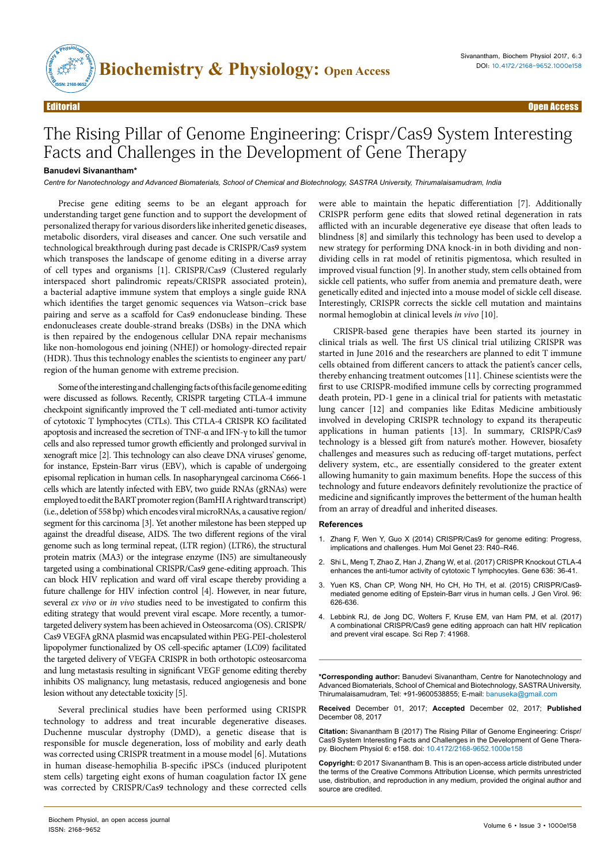

## The Rising Pillar of Genome Engineering: Crispr/Cas9 System Interesting Facts and Challenges in the Development of Gene Therapy

## **Banudevi Sivanantham\***

*Centre for Nanotechnology and Advanced Biomaterials, School of Chemical and Biotechnology, SASTRA University, Thirumalaisamudram, India*

Precise gene editing seems to be an elegant approach for understanding target gene function and to support the development of personalized therapy for various disorders like inherited genetic diseases, metabolic disorders, viral diseases and cancer. One such versatile and technological breakthrough during past decade is CRISPR/Cas9 system which transposes the landscape of genome editing in a diverse array of cell types and organisms [1]. CRISPR/Cas9 (Clustered regularly interspaced short palindromic repeats/CRISPR associated protein), a bacterial adaptive immune system that employs a single guide RNA which identifies the target genomic sequences via Watson–crick base pairing and serve as a scaffold for Cas9 endonuclease binding. These endonucleases create double-strand breaks (DSBs) in the DNA which is then repaired by the endogenous cellular DNA repair mechanisms like non-homologous end joining (NHEJ) or homology-directed repair (HDR). Thus this technology enables the scientists to engineer any part/ region of the human genome with extreme precision.

Some of the interesting and challenging facts of this facile genome editing were discussed as follows. Recently, CRISPR targeting CTLA-4 immune checkpoint significantly improved the T cell-mediated anti-tumor activity of cytotoxic T lymphocytes (CTLs). This CTLA-4 CRISPR KO facilitated apoptosis and increased the secretion of TNF-α and IFN-γ to kill the tumor cells and also repressed tumor growth efficiently and prolonged survival in xenograft mice [2]. This technology can also cleave DNA viruses' genome, for instance, Epstein-Barr virus (EBV), which is capable of undergoing episomal replication in human cells. In nasopharyngeal carcinoma C666-1 cells which are latently infected with EBV, two guide RNAs (gRNAs) were employed to edit the BART promoter region (BamHI A rightward transcript) (i.e., deletion of 558 bp) which encodes viral microRNAs, a causative region/ segment for this carcinoma [3]. Yet another milestone has been stepped up against the dreadful disease, AIDS. The two different regions of the viral genome such as long terminal repeat, (LTR region) (LTR6), the structural protein matrix (MA3) or the integrase enzyme (IN5) are simultaneously targeted using a combinational CRISPR/Cas9 gene-editing approach. This can block HIV replication and ward off viral escape thereby providing a future challenge for HIV infection control [4]. However, in near future, several *ex vivo* or *in vivo* studies need to be investigated to confirm this editing strategy that would prevent viral escape. More recently, a tumortargeted delivery system has been achieved in Osteosarcoma (OS). CRISPR/ Cas9 VEGFA gRNA plasmid was encapsulated within PEG-PEI-cholesterol lipopolymer functionalized by OS cell-specific aptamer (LC09) facilitated the targeted delivery of VEGFA CRISPR in both orthotopic osteosarcoma and lung metastasis resulting in significant VEGF genome editing thereby inhibits OS malignancy, lung metastasis, reduced angiogenesis and bone lesion without any detectable toxicity [5].

Several preclinical studies have been performed using CRISPR technology to address and treat incurable degenerative diseases. Duchenne muscular dystrophy (DMD), a genetic disease that is responsible for muscle degeneration, loss of mobility and early death was corrected using CRISPR treatment in a mouse model [6]. Mutations in human disease-hemophilia B-specific iPSCs (induced pluripotent stem cells) targeting eight exons of human coagulation factor IX gene was corrected by CRISPR/Cas9 technology and these corrected cells were able to maintain the hepatic differentiation [7]. Additionally CRISPR perform gene edits that slowed retinal degeneration in rats afflicted with an incurable degenerative eye disease that often leads to blindness [8] and similarly this technology has been used to develop a new strategy for performing DNA knock-in in both dividing and nondividing cells in rat model of retinitis pigmentosa, which resulted in improved visual function [9]. In another study, stem cells obtained from sickle cell patients, who suffer from anemia and premature death, were genetically edited and injected into a mouse model of sickle cell disease. Interestingly, CRISPR corrects the sickle cell mutation and maintains normal hemoglobin at clinical levels *in vivo* [10].

CRISPR-based gene therapies have been started its journey in clinical trials as well. The first US clinical trial utilizing CRISPR was started in June 2016 and the researchers are planned to edit T immune cells obtained from different cancers to attack the patient's cancer cells, thereby enhancing treatment outcomes [11]. Chinese scientists were the first to use CRISPR-modified immune cells by correcting programmed death protein, PD-1 gene in a clinical trial for patients with metastatic lung cancer [12] and companies like Editas Medicine ambitiously involved in developing CRISPR technology to expand its therapeutic applications in human patients [13]. In summary, CRISPR/Cas9 technology is a blessed gift from nature's mother. However, biosafety challenges and measures such as reducing off-target mutations, perfect delivery system, etc., are essentially considered to the greater extent allowing humanity to gain maximum benefits. Hope the success of this technology and future endeavors definitely revolutionize the practice of medicine and significantly improves the betterment of the human health from an array of dreadful and inherited diseases.

## **References**

- 1. [Zhang F, Wen Y, Guo X \(2014\) CRISPR/Cas9 for genome editing: Progress,](http://dx.doi.org/10.1093/hmg/ddu125)  [implications and challenges. Hum Mol Genet 23: R40–R46.](http://dx.doi.org/10.1093/hmg/ddu125)
- 2. [Shi L, Meng T, Zhao Z, Han J, Zhang W, et al. \(2017\) CRISPR Knockout CTLA-4](http://dx.doi.org/10.1016/j.gene.2017.09.010)  [enhances the anti-tumor activity of cytotoxic T lymphocytes. Gene 636: 36-41.](http://dx.doi.org/10.1016/j.gene.2017.09.010)
- 3. [Yuen KS, Chan CP, Wong NH, Ho CH, Ho TH, et al. \(2015\) CRISPR/Cas9](http://dx.doi.org/10.1099/jgv.0.000012) [mediated genome editing of Epstein-Barr virus in human cells. J Gen Virol. 96:](http://dx.doi.org/10.1099/jgv.0.000012)  [626-636.](http://dx.doi.org/10.1099/jgv.0.000012)
- 4. [Lebbink RJ, de Jong DC, Wolters F, Kruse EM, van Ham PM, et al. \(2017\)](http://dx.doi.org/10.1038/srep41968)  [A combinational CRISPR/Cas9 gene editing approach can halt HIV replication](http://dx.doi.org/10.1038/srep41968)  [and prevent viral escape. Sci Rep 7: 41968.](http://dx.doi.org/10.1038/srep41968)

**\*Corresponding author:** Banudevi Sivanantham, Centre for Nanotechnology and Advanced Biomaterials, School of Chemical and Biotechnology, SASTRA University, Thirumalaisamudram, Tel: +91-9600538855; E-mail: banuseka@gmail.com

**Received** December 01, 2017; **Accepted** December 02, 2017; **Published** December 08, 2017

**Citation:** Sivanantham B (2017) The Rising Pillar of Genome Engineering: Crispr/ Cas9 System Interesting Facts and Challenges in the Development of Gene Therapy. Biochem Physiol 6: e158. doi: 10.4172/2168-9652.1000e158

**Copyright:** © 2017 Sivanantham B. This is an open-access article distributed under the terms of the Creative Commons Attribution License, which permits unrestricted use, distribution, and reproduction in any medium, provided the original author and source are credited.